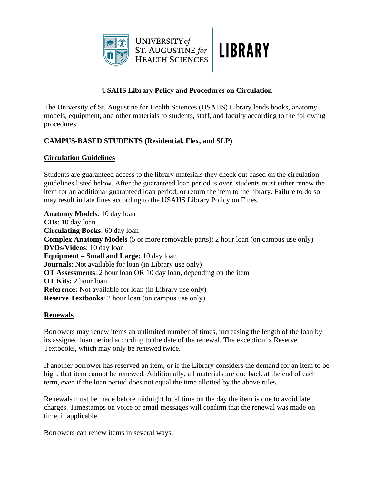



# **USAHS Library Policy and Procedures on Circulation**

UNIVERSITY of

ST. AUGUSTINE for<br>HEALTH SCIENCES

The University of St. Augustine for Health Sciences (USAHS) Library lends books, anatomy models, equipment, and other materials to students, staff, and faculty according to the following procedures:

# **CAMPUS-BASED STUDENTS (Residential, Flex, and SLP)**

## **Circulation Guidelines**

Students are guaranteed access to the library materials they check out based on the circulation guidelines listed below. After the guaranteed loan period is over, students must either renew the item for an additional guaranteed loan period, or return the item to the library. Failure to do so may result in late fines according to the USAHS Library Policy on Fines.

**Anatomy Models**: 10 day loan **CDs**: 10 day loan **Circulating Books**: 60 day loan **Complex Anatomy Models** (5 or more removable parts): 2 hour loan (on campus use only) **DVDs/Videos**: 10 day loan **Equipment – Small and Large:** 10 day loan **Journals**: Not available for loan (in Library use only) **OT Assessments**: 2 hour loan OR 10 day loan, depending on the item **OT Kits:** 2 hour loan **Reference:** Not available for loan (in Library use only) **Reserve Textbooks**: 2 hour loan (on campus use only)

## **Renewals**

Borrowers may renew items an unlimited number of times, increasing the length of the loan by its assigned loan period according to the date of the renewal. The exception is Reserve Textbooks, which may only be renewed twice.

If another borrower has reserved an item, or if the Library considers the demand for an item to be high, that item cannot be renewed. Additionally, all materials are due back at the end of each term, even if the loan period does not equal the time allotted by the above rules.

Renewals must be made before midnight local time on the day the item is due to avoid late charges. Timestamps on voice or email messages will confirm that the renewal was made on time, if applicable.

Borrowers can renew items in several ways: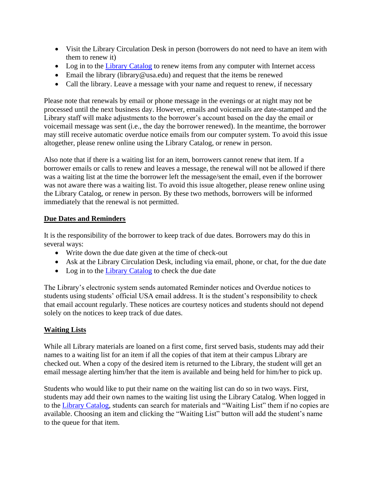- Visit the Library Circulation Desk in person (borrowers do not need to have an item with them to renew it)
- Log in to the [Library Catalog](http://usahs.softlinkliberty.net/liberty/libraryHome.do) to renew items from any computer with Internet access
- Email the library (library @usa.edu) and request that the items be renewed
- Call the library. Leave a message with your name and request to renew, if necessary

Please note that renewals by email or phone message in the evenings or at night may not be processed until the next business day. However, emails and voicemails are date-stamped and the Library staff will make adjustments to the borrower's account based on the day the email or voicemail message was sent (i.e., the day the borrower renewed). In the meantime, the borrower may still receive automatic overdue notice emails from our computer system. To avoid this issue altogether, please renew online using the Library Catalog, or renew in person.

Also note that if there is a waiting list for an item, borrowers cannot renew that item. If a borrower emails or calls to renew and leaves a message, the renewal will not be allowed if there was a waiting list at the time the borrower left the message/sent the email, even if the borrower was not aware there was a waiting list. To avoid this issue altogether, please renew online using the Library Catalog, or renew in person. By these two methods, borrowers will be informed immediately that the renewal is not permitted.

## **Due Dates and Reminders**

It is the responsibility of the borrower to keep track of due dates. Borrowers may do this in several ways:

- Write down the due date given at the time of check-out
- Ask at the Library Circulation Desk, including via email, phone, or chat, for the due date
- Log in to the [Library Catalog](http://usahs.softlinkliberty.net/liberty/libraryHome.do) to check the due date

The Library's electronic system sends automated Reminder notices and Overdue notices to students using students' official USA email address. It is the student's responsibility to check that email account regularly. These notices are courtesy notices and students should not depend solely on the notices to keep track of due dates.

## **Waiting Lists**

While all Library materials are loaned on a first come, first served basis, students may add their names to a waiting list for an item if all the copies of that item at their campus Library are checked out. When a copy of the desired item is returned to the Library, the student will get an email message alerting him/her that the item is available and being held for him/her to pick up.

Students who would like to put their name on the waiting list can do so in two ways. First, students may add their own names to the waiting list using the Library Catalog. When logged in to the [Library Catalog,](http://usahs.softlinkliberty.net/liberty/libraryHome.do) students can search for materials and "Waiting List" them if no copies are available. Choosing an item and clicking the "Waiting List" button will add the student's name to the queue for that item.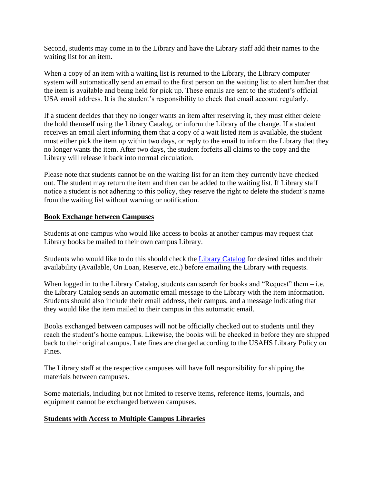Second, students may come in to the Library and have the Library staff add their names to the waiting list for an item.

When a copy of an item with a waiting list is returned to the Library, the Library computer system will automatically send an email to the first person on the waiting list to alert him/her that the item is available and being held for pick up. These emails are sent to the student's official USA email address. It is the student's responsibility to check that email account regularly.

If a student decides that they no longer wants an item after reserving it, they must either delete the hold themself using the Library Catalog, or inform the Library of the change. If a student receives an email alert informing them that a copy of a wait listed item is available, the student must either pick the item up within two days, or reply to the email to inform the Library that they no longer wants the item. After two days, the student forfeits all claims to the copy and the Library will release it back into normal circulation.

Please note that students cannot be on the waiting list for an item they currently have checked out. The student may return the item and then can be added to the waiting list. If Library staff notice a student is not adhering to this policy, they reserve the right to delete the student's name from the waiting list without warning or notification.

#### **Book Exchange between Campuses**

Students at one campus who would like access to books at another campus may request that Library books be mailed to their own campus Library.

Students who would like to do this should check the [Library Catalog](http://usahs.softlinkliberty.net/liberty/libraryHome.do) for desired titles and their availability (Available, On Loan, Reserve, etc.) before emailing the Library with requests.

When logged in to the Library Catalog, students can search for books and "Request" them  $-$  i.e. the Library Catalog sends an automatic email message to the Library with the item information. Students should also include their email address, their campus, and a message indicating that they would like the item mailed to their campus in this automatic email.

Books exchanged between campuses will not be officially checked out to students until they reach the student's home campus. Likewise, the books will be checked in before they are shipped back to their original campus. Late fines are charged according to the USAHS Library Policy on Fines.

The Library staff at the respective campuses will have full responsibility for shipping the materials between campuses.

Some materials, including but not limited to reserve items, reference items, journals, and equipment cannot be exchanged between campuses.

## **Students with Access to Multiple Campus Libraries**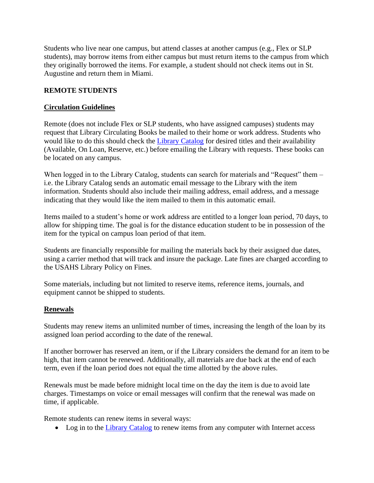Students who live near one campus, but attend classes at another campus (e.g., Flex or SLP students), may borrow items from either campus but must return items to the campus from which they originally borrowed the items. For example, a student should not check items out in St. Augustine and return them in Miami.

# **REMOTE STUDENTS**

# **Circulation Guidelines**

Remote (does not include Flex or SLP students, who have assigned campuses) students may request that Library Circulating Books be mailed to their home or work address. Students who would like to do this should check the [Library Catalog](http://usahs.softlinkliberty.net/liberty/libraryHome.do) for desired titles and their availability (Available, On Loan, Reserve, etc.) before emailing the Library with requests. These books can be located on any campus.

When logged in to the Library Catalog, students can search for materials and "Request" them – i.e. the Library Catalog sends an automatic email message to the Library with the item information. Students should also include their mailing address, email address, and a message indicating that they would like the item mailed to them in this automatic email.

Items mailed to a student's home or work address are entitled to a longer loan period, 70 days, to allow for shipping time. The goal is for the distance education student to be in possession of the item for the typical on campus loan period of that item.

Students are financially responsible for mailing the materials back by their assigned due dates, using a carrier method that will track and insure the package. Late fines are charged according to the USAHS Library Policy on Fines.

Some materials, including but not limited to reserve items, reference items, journals, and equipment cannot be shipped to students.

## **Renewals**

Students may renew items an unlimited number of times, increasing the length of the loan by its assigned loan period according to the date of the renewal.

If another borrower has reserved an item, or if the Library considers the demand for an item to be high, that item cannot be renewed. Additionally, all materials are due back at the end of each term, even if the loan period does not equal the time allotted by the above rules.

Renewals must be made before midnight local time on the day the item is due to avoid late charges. Timestamps on voice or email messages will confirm that the renewal was made on time, if applicable.

Remote students can renew items in several ways:

• Log in to the [Library Catalog](http://usahs.softlinkliberty.net/liberty/libraryHome.do) to renew items from any computer with Internet access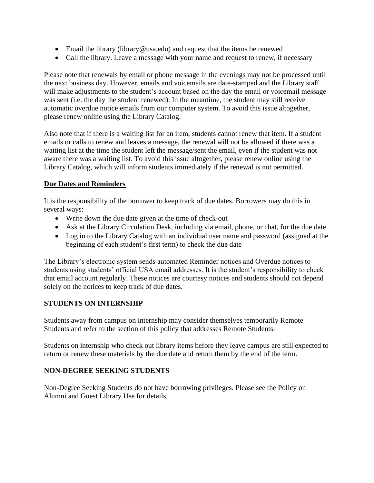- Email the library (library @usa.edu) and request that the items be renewed
- Call the library. Leave a message with your name and request to renew, if necessary

Please note that renewals by email or phone message in the evenings may not be processed until the next business day. However, emails and voicemails are date-stamped and the Library staff will make adjustments to the student's account based on the day the email or voicemail message was sent (i.e. the day the student renewed). In the meantime, the student may still receive automatic overdue notice emails from our computer system. To avoid this issue altogether, please renew online using the Library Catalog.

Also note that if there is a waiting list for an item, students cannot renew that item. If a student emails or calls to renew and leaves a message, the renewal will not be allowed if there was a waiting list at the time the student left the message/sent the email, even if the student was not aware there was a waiting list. To avoid this issue altogether, please renew online using the Library Catalog, which will inform students immediately if the renewal is not permitted.

# **Due Dates and Reminders**

It is the responsibility of the borrower to keep track of due dates. Borrowers may do this in several ways:

- Write down the due date given at the time of check-out
- Ask at the Library Circulation Desk, including via email, phone, or chat, for the due date
- Log in to the Library Catalog with an individual user name and password (assigned at the beginning of each student's first term) to check the due date

The Library's electronic system sends automated Reminder notices and Overdue notices to students using students' official USA email addresses. It is the student's responsibility to check that email account regularly. These notices are courtesy notices and students should not depend solely on the notices to keep track of due dates.

## **STUDENTS ON INTERNSHIP**

Students away from campus on internship may consider themselves temporarily Remote Students and refer to the section of this policy that addresses Remote Students.

Students on internship who check out library items before they leave campus are still expected to return or renew these materials by the due date and return them by the end of the term.

## **NON-DEGREE SEEKING STUDENTS**

Non-Degree Seeking Students do not have borrowing privileges. Please see the Policy on Alumni and Guest Library Use for details.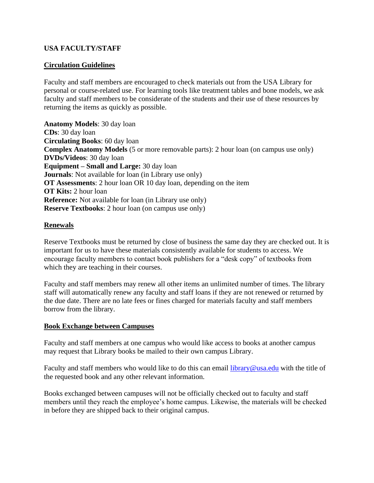#### **USA FACULTY/STAFF**

#### **Circulation Guidelines**

Faculty and staff members are encouraged to check materials out from the USA Library for personal or course-related use. For learning tools like treatment tables and bone models, we ask faculty and staff members to be considerate of the students and their use of these resources by returning the items as quickly as possible.

**Anatomy Models**: 30 day loan **CDs**: 30 day loan **Circulating Books**: 60 day loan **Complex Anatomy Models** (5 or more removable parts): 2 hour loan (on campus use only) **DVDs/Videos**: 30 day loan **Equipment – Small and Large:** 30 day loan **Journals**: Not available for loan (in Library use only) **OT Assessments**: 2 hour loan OR 10 day loan, depending on the item **OT Kits:** 2 hour loan **Reference:** Not available for loan (in Library use only) **Reserve Textbooks**: 2 hour loan (on campus use only)

#### **Renewals**

Reserve Textbooks must be returned by close of business the same day they are checked out. It is important for us to have these materials consistently available for students to access. We encourage faculty members to contact book publishers for a "desk copy" of textbooks from which they are teaching in their courses.

Faculty and staff members may renew all other items an unlimited number of times. The library staff will automatically renew any faculty and staff loans if they are not renewed or returned by the due date. There are no late fees or fines charged for materials faculty and staff members borrow from the library.

#### **Book Exchange between Campuses**

Faculty and staff members at one campus who would like access to books at another campus may request that Library books be mailed to their own campus Library.

Faculty and staff members who would like to do this can email [library@usa.edu](mailto:library@usa.edu) with the title of the requested book and any other relevant information.

Books exchanged between campuses will not be officially checked out to faculty and staff members until they reach the employee's home campus. Likewise, the materials will be checked in before they are shipped back to their original campus.